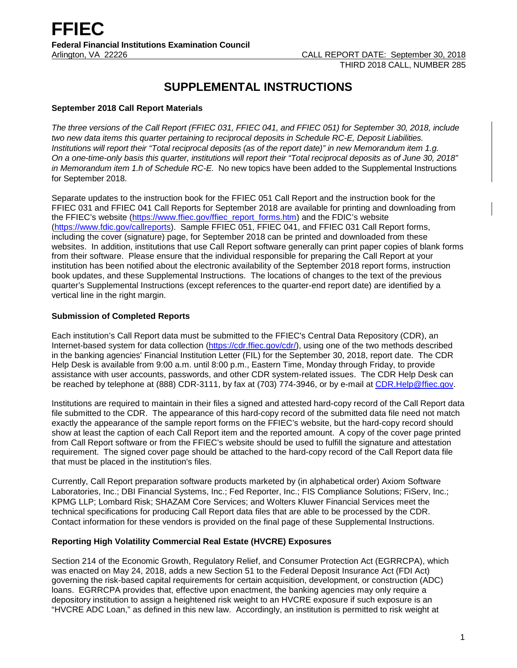# **SUPPLEMENTAL INSTRUCTIONS**

## **September 2018 Call Report Materials**

*The three versions of the Call Report (FFIEC 031, FFIEC 041, and FFIEC 051) for September 30, 2018, include two new data items this quarter pertaining to reciprocal deposits in Schedule RC-E, Deposit Liabilities. Institutions will report their "Total reciprocal deposits (as of the report date)" in new Memorandum item 1.g. On a one-time-only basis this quarter, institutions will report their "Total reciprocal deposits as of June 30, 2018" in Memorandum item 1.h of Schedule RC-E.* No new topics have been added to the Supplemental Instructions for September 2018.

Separate updates to the instruction book for the FFIEC 051 Call Report and the instruction book for the FFIEC 031 and FFIEC 041 Call Reports for September 2018 are available for printing and downloading from the FFIEC's website [\(https://www.ffiec.gov/ffiec\\_report\\_forms.htm\)](https://www.ffiec.gov/ffiec_report_forms.htm) and the FDIC's website [\(https://www.fdic.gov/callreports\)](https://www.fdic.gov/callreports). Sample FFIEC 051, FFIEC 041, and FFIEC 031 Call Report forms, including the cover (signature) page, for September 2018 can be printed and downloaded from these websites. In addition, institutions that use Call Report software generally can print paper copies of blank forms from their software. Please ensure that the individual responsible for preparing the Call Report at your institution has been notified about the electronic availability of the September 2018 report forms, instruction book updates, and these Supplemental Instructions. The locations of changes to the text of the previous quarter's Supplemental Instructions (except references to the quarter-end report date) are identified by a vertical line in the right margin.

# **Submission of Completed Reports**

Each institution's Call Report data must be submitted to the FFIEC's Central Data Repository (CDR), an Internet-based system for data collection [\(https://cdr.ffiec.gov/cdr/\)](https://cdr.ffiec.gov/cdr/), using one of the two methods described in the banking agencies' Financial Institution Letter (FIL) for the September 30, 2018, report date. The CDR Help Desk is available from 9:00 a.m. until 8:00 p.m., Eastern Time, Monday through Friday, to provide assistance with user accounts, passwords, and other CDR system-related issues. The CDR Help Desk can be reached by telephone at (888) CDR-3111, by fax at (703) 774-3946, or by e-mail at CDR. Help@ffiec.gov.

Institutions are required to maintain in their files a signed and attested hard-copy record of the Call Report data file submitted to the CDR. The appearance of this hard-copy record of the submitted data file need not match exactly the appearance of the sample report forms on the FFIEC's website, but the hard-copy record should show at least the caption of each Call Report item and the reported amount. A copy of the cover page printed from Call Report software or from the FFIEC's website should be used to fulfill the signature and attestation requirement. The signed cover page should be attached to the hard-copy record of the Call Report data file that must be placed in the institution's files.

Currently, Call Report preparation software products marketed by (in alphabetical order) Axiom Software Laboratories, Inc.; DBI Financial Systems, Inc.; Fed Reporter, Inc.; FIS Compliance Solutions; FiServ, Inc.; KPMG LLP; Lombard Risk; SHAZAM Core Services; and Wolters Kluwer Financial Services meet the technical specifications for producing Call Report data files that are able to be processed by the CDR. Contact information for these vendors is provided on the final page of these Supplemental Instructions.

#### **Reporting High Volatility Commercial Real Estate (HVCRE) Exposures**

Section 214 of the Economic Growth, Regulatory Relief, and Consumer Protection Act (EGRRCPA), which was enacted on May 24, 2018, adds a new Section 51 to the Federal Deposit Insurance Act (FDI Act) governing the risk-based capital requirements for certain acquisition, development, or construction (ADC) loans. EGRRCPA provides that, effective upon enactment, the banking agencies may only require a depository institution to assign a heightened risk weight to an HVCRE exposure if such exposure is an "HVCRE ADC Loan," as defined in this new law. Accordingly, an institution is permitted to risk weight at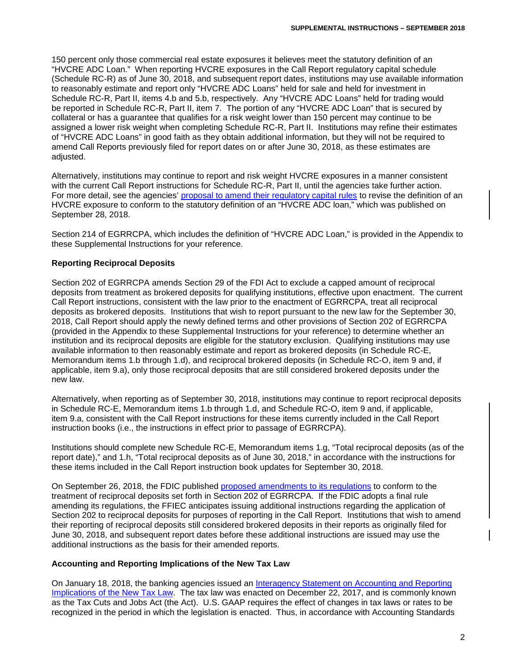150 percent only those commercial real estate exposures it believes meet the statutory definition of an "HVCRE ADC Loan." When reporting HVCRE exposures in the Call Report regulatory capital schedule (Schedule RC-R) as of June 30, 2018, and subsequent report dates, institutions may use available information to reasonably estimate and report only "HVCRE ADC Loans" held for sale and held for investment in Schedule RC-R, Part II, items 4.b and 5.b, respectively. Any "HVCRE ADC Loans" held for trading would be reported in Schedule RC-R, Part II, item 7. The portion of any "HVCRE ADC Loan" that is secured by collateral or has a guarantee that qualifies for a risk weight lower than 150 percent may continue to be assigned a lower risk weight when completing Schedule RC-R, Part II. Institutions may refine their estimates of "HVCRE ADC Loans" in good faith as they obtain additional information, but they will not be required to amend Call Reports previously filed for report dates on or after June 30, 2018, as these estimates are adjusted.

Alternatively, institutions may continue to report and risk weight HVCRE exposures in a manner consistent with the current Call Report instructions for Schedule RC-R, Part II, until the agencies take further action. For more detail, see the agencies' [proposal to amend their regulatory capital rules](https://www.govinfo.gov/content/pkg/FR-2018-09-28/pdf/2018-20875.pdf) to revise the definition of an HVCRE exposure to conform to the statutory definition of an "HVCRE ADC loan," which was published on September 28, 2018.

Section 214 of EGRRCPA, which includes the definition of "HVCRE ADC Loan," is provided in the Appendix to these Supplemental Instructions for your reference.

# **Reporting Reciprocal Deposits**

Section 202 of EGRRCPA amends Section 29 of the FDI Act to exclude a capped amount of reciprocal deposits from treatment as brokered deposits for qualifying institutions, effective upon enactment. The current Call Report instructions, consistent with the law prior to the enactment of EGRRCPA, treat all reciprocal deposits as brokered deposits. Institutions that wish to report pursuant to the new law for the September 30, 2018, Call Report should apply the newly defined terms and other provisions of Section 202 of EGRRCPA (provided in the Appendix to these Supplemental Instructions for your reference) to determine whether an institution and its reciprocal deposits are eligible for the statutory exclusion. Qualifying institutions may use available information to then reasonably estimate and report as brokered deposits (in Schedule RC-E, Memorandum items 1.b through 1.d), and reciprocal brokered deposits (in Schedule RC-O, item 9 and, if applicable, item 9.a), only those reciprocal deposits that are still considered brokered deposits under the new law.

Alternatively, when reporting as of September 30, 2018, institutions may continue to report reciprocal deposits in Schedule RC-E, Memorandum items 1.b through 1.d, and Schedule RC-O, item 9 and, if applicable, item 9.a, consistent with the Call Report instructions for these items currently included in the Call Report instruction books (i.e., the instructions in effect prior to passage of EGRRCPA).

Institutions should complete new Schedule RC-E, Memorandum items 1.g, "Total reciprocal deposits (as of the report date)," and 1.h, "Total reciprocal deposits as of June 30, 2018," in accordance with the instructions for these items included in the Call Report instruction book updates for September 30, 2018.

On September 26, 2018, the FDIC published [proposed amendments](https://www.govinfo.gov/content/pkg/FR-2018-09-26/pdf/2018-20303.pdf) to its regulations to conform to the treatment of reciprocal deposits set forth in Section 202 of EGRRCPA. If the FDIC adopts a final rule amending its regulations, the FFIEC anticipates issuing additional instructions regarding the application of Section 202 to reciprocal deposits for purposes of reporting in the Call Report. Institutions that wish to amend their reporting of reciprocal deposits still considered brokered deposits in their reports as originally filed for June 30, 2018, and subsequent report dates before these additional instructions are issued may use the additional instructions as the basis for their amended reports.

#### **Accounting and Reporting Implications of the New Tax Law**

On January 18, 2018, the banking agencies issued an [Interagency Statement on Accounting and Reporting](https://www.fdic.gov/news/news/financial/2018/fil18006a.pdf)  [Implications of the New Tax Law.](https://www.fdic.gov/news/news/financial/2018/fil18006a.pdf) The tax law was enacted on December 22, 2017, and is commonly known as the Tax Cuts and Jobs Act (the Act). U.S. GAAP requires the effect of changes in tax laws or rates to be recognized in the period in which the legislation is enacted. Thus, in accordance with Accounting Standards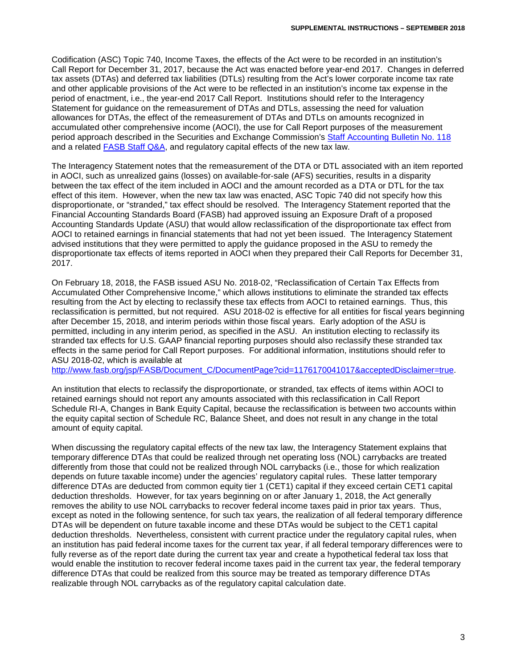Codification (ASC) Topic 740, Income Taxes, the effects of the Act were to be recorded in an institution's Call Report for December 31, 2017, because the Act was enacted before year-end 2017. Changes in deferred tax assets (DTAs) and deferred tax liabilities (DTLs) resulting from the Act's lower corporate income tax rate and other applicable provisions of the Act were to be reflected in an institution's income tax expense in the period of enactment, i.e., the year-end 2017 Call Report. Institutions should refer to the Interagency Statement for guidance on the remeasurement of DTAs and DTLs, assessing the need for valuation allowances for DTAs, the effect of the remeasurement of DTAs and DTLs on amounts recognized in accumulated other comprehensive income (AOCI), the use for Call Report purposes of the measurement period approach described in the Securities and Exchange Commission's [Staff Accounting Bulletin No. 118](https://www.sec.gov/interps/account/staff-accounting-bulletin-118.htm) and a related FASB [Staff Q&A,](http://www.fasb.org/cs/ContentServer?c=Document_C&cid=1176169782120&d=&pagename=FASB%2FDocument_C%2FDocumentPage) and regulatory capital effects of the new tax law.

The Interagency Statement notes that the remeasurement of the DTA or DTL associated with an item reported in AOCI, such as unrealized gains (losses) on available-for-sale (AFS) securities, results in a disparity between the tax effect of the item included in AOCI and the amount recorded as a DTA or DTL for the tax effect of this item. However, when the new tax law was enacted, ASC Topic 740 did not specify how this disproportionate, or "stranded," tax effect should be resolved. The Interagency Statement reported that the Financial Accounting Standards Board (FASB) had approved issuing an Exposure Draft of a proposed Accounting Standards Update (ASU) that would allow reclassification of the disproportionate tax effect from AOCI to retained earnings in financial statements that had not yet been issued. The Interagency Statement advised institutions that they were permitted to apply the guidance proposed in the ASU to remedy the disproportionate tax effects of items reported in AOCI when they prepared their Call Reports for December 31, 2017.

On February 18, 2018, the FASB issued ASU No. 2018-02, "Reclassification of Certain Tax Effects from Accumulated Other Comprehensive Income," which allows institutions to eliminate the stranded tax effects resulting from the Act by electing to reclassify these tax effects from AOCI to retained earnings. Thus, this reclassification is permitted, but not required. ASU 2018-02 is effective for all entities for fiscal years beginning after December 15, 2018, and interim periods within those fiscal years. Early adoption of the ASU is permitted, including in any interim period, as specified in the ASU. An institution electing to reclassify its stranded tax effects for U.S. GAAP financial reporting purposes should also reclassify these stranded tax effects in the same period for Call Report purposes. For additional information, institutions should refer to ASU 2018-02, which is available at

[http://www.fasb.org/jsp/FASB/Document\\_C/DocumentPage?cid=1176170041017&acceptedDisclaimer=true.](http://www.fasb.org/jsp/FASB/Document_C/DocumentPage?cid=1176170041017&acceptedDisclaimer=true)

An institution that elects to reclassify the disproportionate, or stranded, tax effects of items within AOCI to retained earnings should not report any amounts associated with this reclassification in Call Report Schedule RI-A, Changes in Bank Equity Capital, because the reclassification is between two accounts within the equity capital section of Schedule RC, Balance Sheet, and does not result in any change in the total amount of equity capital.

When discussing the regulatory capital effects of the new tax law, the Interagency Statement explains that temporary difference DTAs that could be realized through net operating loss (NOL) carrybacks are treated differently from those that could not be realized through NOL carrybacks (i.e., those for which realization depends on future taxable income) under the agencies' regulatory capital rules. These latter temporary difference DTAs are deducted from common equity tier 1 (CET1) capital if they exceed certain CET1 capital deduction thresholds. However, for tax years beginning on or after January 1, 2018, the Act generally removes the ability to use NOL carrybacks to recover federal income taxes paid in prior tax years. Thus, except as noted in the following sentence, for such tax years, the realization of all federal temporary difference DTAs will be dependent on future taxable income and these DTAs would be subject to the CET1 capital deduction thresholds. Nevertheless, consistent with current practice under the regulatory capital rules, when an institution has paid federal income taxes for the current tax year, if all federal temporary differences were to fully reverse as of the report date during the current tax year and create a hypothetical federal tax loss that would enable the institution to recover federal income taxes paid in the current tax year, the federal temporary difference DTAs that could be realized from this source may be treated as temporary difference DTAs realizable through NOL carrybacks as of the regulatory capital calculation date.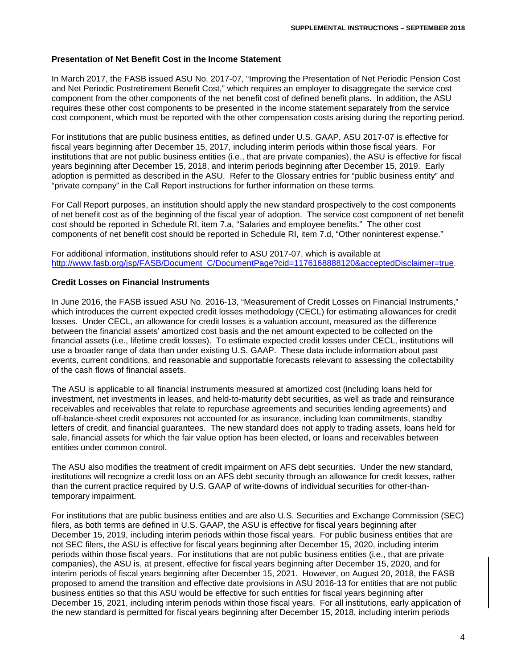#### **Presentation of Net Benefit Cost in the Income Statement**

In March 2017, the FASB issued ASU No. 2017-07, "Improving the Presentation of Net Periodic Pension Cost and Net Periodic Postretirement Benefit Cost," which requires an employer to disaggregate the service cost component from the other components of the net benefit cost of defined benefit plans. In addition, the ASU requires these other cost components to be presented in the income statement separately from the service cost component, which must be reported with the other compensation costs arising during the reporting period.

For institutions that are public business entities, as defined under U.S. GAAP, ASU 2017-07 is effective for fiscal years beginning after December 15, 2017, including interim periods within those fiscal years. For institutions that are not public business entities (i.e., that are private companies), the ASU is effective for fiscal years beginning after December 15, 2018, and interim periods beginning after December 15, 2019. Early adoption is permitted as described in the ASU. Refer to the Glossary entries for "public business entity" and "private company" in the Call Report instructions for further information on these terms.

For Call Report purposes, an institution should apply the new standard prospectively to the cost components of net benefit cost as of the beginning of the fiscal year of adoption. The service cost component of net benefit cost should be reported in Schedule RI, item 7.a, "Salaries and employee benefits." The other cost components of net benefit cost should be reported in Schedule RI, item 7.d, "Other noninterest expense."

For additional information, institutions should refer to ASU 2017-07, which is available at [http://www.fasb.org/jsp/FASB/Document\\_C/DocumentPage?cid=1176168888120&acceptedDisclaimer=true.](http://www.fasb.org/jsp/FASB/Document_C/DocumentPage?cid=1176168888120&acceptedDisclaimer=true)

#### **Credit Losses on Financial Instruments**

In June 2016, the FASB issued ASU No. 2016-13, "Measurement of Credit Losses on Financial Instruments," which introduces the current expected credit losses methodology (CECL) for estimating allowances for credit losses. Under CECL, an allowance for credit losses is a valuation account, measured as the difference between the financial assets' amortized cost basis and the net amount expected to be collected on the financial assets (i.e., lifetime credit losses). To estimate expected credit losses under CECL, institutions will use a broader range of data than under existing U.S. GAAP. These data include information about past events, current conditions, and reasonable and supportable forecasts relevant to assessing the collectability of the cash flows of financial assets.

The ASU is applicable to all financial instruments measured at amortized cost (including loans held for investment, net investments in leases, and held-to-maturity debt securities, as well as trade and reinsurance receivables and receivables that relate to repurchase agreements and securities lending agreements) and off-balance-sheet credit exposures not accounted for as insurance, including loan commitments, standby letters of credit, and financial guarantees. The new standard does not apply to trading assets, loans held for sale, financial assets for which the fair value option has been elected, or loans and receivables between entities under common control.

The ASU also modifies the treatment of credit impairment on AFS debt securities. Under the new standard, institutions will recognize a credit loss on an AFS debt security through an allowance for credit losses, rather than the current practice required by U.S. GAAP of write-downs of individual securities for other-thantemporary impairment.

For institutions that are public business entities and are also U.S. Securities and Exchange Commission (SEC) filers, as both terms are defined in U.S. GAAP, the ASU is effective for fiscal years beginning after December 15, 2019, including interim periods within those fiscal years. For public business entities that are not SEC filers, the ASU is effective for fiscal years beginning after December 15, 2020, including interim periods within those fiscal years. For institutions that are not public business entities (i.e., that are private companies), the ASU is, at present, effective for fiscal years beginning after December 15, 2020, and for interim periods of fiscal years beginning after December 15, 2021. However, on August 20, 2018, the FASB proposed to amend the transition and effective date provisions in ASU 2016-13 for entities that are not public business entities so that this ASU would be effective for such entities for fiscal years beginning after December 15, 2021, including interim periods within those fiscal years. For all institutions, early application of the new standard is permitted for fiscal years beginning after December 15, 2018, including interim periods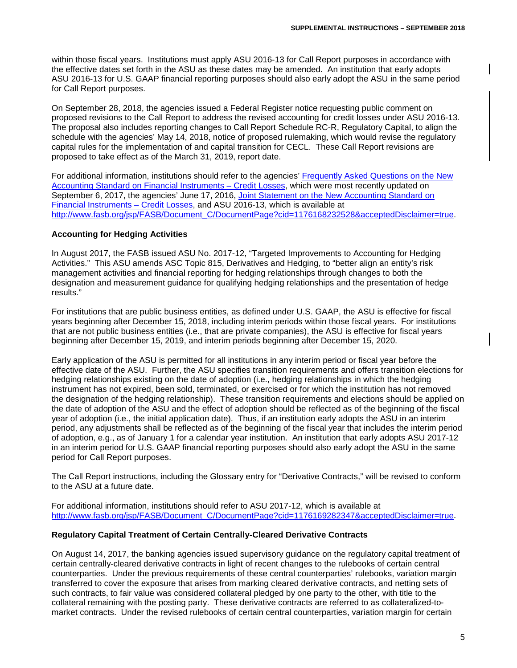within those fiscal years. Institutions must apply ASU 2016-13 for Call Report purposes in accordance with the effective dates set forth in the ASU as these dates may be amended. An institution that early adopts ASU 2016-13 for U.S. GAAP financial reporting purposes should also early adopt the ASU in the same period for Call Report purposes.

On September 28, 2018, the agencies issued a Federal Register notice requesting public comment on proposed revisions to the Call Report to address the revised accounting for credit losses under ASU 2016-13. The proposal also includes reporting changes to Call Report Schedule RC-R, Regulatory Capital, to align the schedule with the agencies' May 14, 2018, notice of proposed rulemaking, which would revise the regulatory capital rules for the implementation of and capital transition for CECL. These Call Report revisions are proposed to take effect as of the March 31, 2019, report date.

For additional information, institutions should refer to the agencies' [Frequently Asked Questions on the New](https://www.occ.treas.gov/news-issuances/bulletins/2016/bulletin-2016-45a.pdf)  [Accounting Standard on Financial Instruments –](https://www.occ.treas.gov/news-issuances/bulletins/2016/bulletin-2016-45a.pdf) Credit Losses, which were most recently updated on September 6, 2017, the agencies' June 17, 2016, [Joint Statement on the New Accounting Standard on](https://www.federalreserve.gov/newsevents/pressreleases/files/bcreg20160617b1.pdf)  [Financial Instruments –](https://www.federalreserve.gov/newsevents/pressreleases/files/bcreg20160617b1.pdf) Credit Losses, and ASU 2016-13, which is available at [http://www.fasb.org/jsp/FASB/Document\\_C/DocumentPage?cid=1176168232528&acceptedDisclaimer=true.](http://www.fasb.org/jsp/FASB/Document_C/DocumentPage?cid=1176168232528&acceptedDisclaimer=true)

## **Accounting for Hedging Activities**

In August 2017, the FASB issued ASU No. 2017-12, "Targeted Improvements to Accounting for Hedging Activities." This ASU amends ASC Topic 815, Derivatives and Hedging, to "better align an entity's risk management activities and financial reporting for hedging relationships through changes to both the designation and measurement guidance for qualifying hedging relationships and the presentation of hedge results."

For institutions that are public business entities, as defined under U.S. GAAP, the ASU is effective for fiscal years beginning after December 15, 2018, including interim periods within those fiscal years. For institutions that are not public business entities (i.e., that are private companies), the ASU is effective for fiscal years beginning after December 15, 2019, and interim periods beginning after December 15, 2020.

Early application of the ASU is permitted for all institutions in any interim period or fiscal year before the effective date of the ASU. Further, the ASU specifies transition requirements and offers transition elections for hedging relationships existing on the date of adoption (i.e., hedging relationships in which the hedging instrument has not expired, been sold, terminated, or exercised or for which the institution has not removed the designation of the hedging relationship). These transition requirements and elections should be applied on the date of adoption of the ASU and the effect of adoption should be reflected as of the beginning of the fiscal year of adoption (i.e., the initial application date). Thus, if an institution early adopts the ASU in an interim period, any adjustments shall be reflected as of the beginning of the fiscal year that includes the interim period of adoption, e.g., as of January 1 for a calendar year institution. An institution that early adopts ASU 2017-12 in an interim period for U.S. GAAP financial reporting purposes should also early adopt the ASU in the same period for Call Report purposes.

The Call Report instructions, including the Glossary entry for "Derivative Contracts," will be revised to conform to the ASU at a future date.

For additional information, institutions should refer to ASU 2017-12, which is available at [http://www.fasb.org/jsp/FASB/Document\\_C/DocumentPage?cid=1176169282347&acceptedDisclaimer=true.](http://www.fasb.org/jsp/FASB/Document_C/DocumentPage?cid=1176169282347&acceptedDisclaimer=true)

#### **Regulatory Capital Treatment of Certain Centrally-Cleared Derivative Contracts**

On August 14, 2017, the banking agencies issued supervisory guidance on the regulatory capital treatment of certain centrally-cleared derivative contracts in light of recent changes to the rulebooks of certain central counterparties. Under the previous requirements of these central counterparties' rulebooks, variation margin transferred to cover the exposure that arises from marking cleared derivative contracts, and netting sets of such contracts, to fair value was considered collateral pledged by one party to the other, with title to the collateral remaining with the posting party. These derivative contracts are referred to as collateralized-tomarket contracts. Under the revised rulebooks of certain central counterparties, variation margin for certain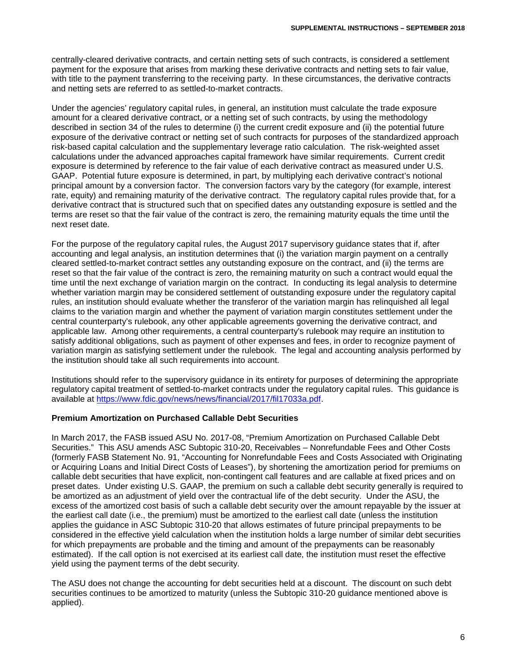centrally-cleared derivative contracts, and certain netting sets of such contracts, is considered a settlement payment for the exposure that arises from marking these derivative contracts and netting sets to fair value, with title to the payment transferring to the receiving party. In these circumstances, the derivative contracts and netting sets are referred to as settled-to-market contracts.

Under the agencies' regulatory capital rules, in general, an institution must calculate the trade exposure amount for a cleared derivative contract, or a netting set of such contracts, by using the methodology described in section 34 of the rules to determine (i) the current credit exposure and (ii) the potential future exposure of the derivative contract or netting set of such contracts for purposes of the standardized approach risk-based capital calculation and the supplementary leverage ratio calculation. The risk-weighted asset calculations under the advanced approaches capital framework have similar requirements. Current credit exposure is determined by reference to the fair value of each derivative contract as measured under U.S. GAAP. Potential future exposure is determined, in part, by multiplying each derivative contract's notional principal amount by a conversion factor. The conversion factors vary by the category (for example, interest rate, equity) and remaining maturity of the derivative contract. The regulatory capital rules provide that, for a derivative contract that is structured such that on specified dates any outstanding exposure is settled and the terms are reset so that the fair value of the contract is zero, the remaining maturity equals the time until the next reset date.

For the purpose of the regulatory capital rules, the August 2017 supervisory guidance states that if, after accounting and legal analysis, an institution determines that (i) the variation margin payment on a centrally cleared settled-to-market contract settles any outstanding exposure on the contract, and (ii) the terms are reset so that the fair value of the contract is zero, the remaining maturity on such a contract would equal the time until the next exchange of variation margin on the contract. In conducting its legal analysis to determine whether variation margin may be considered settlement of outstanding exposure under the regulatory capital rules, an institution should evaluate whether the transferor of the variation margin has relinquished all legal claims to the variation margin and whether the payment of variation margin constitutes settlement under the central counterparty's rulebook, any other applicable agreements governing the derivative contract, and applicable law. Among other requirements, a central counterparty's rulebook may require an institution to satisfy additional obligations, such as payment of other expenses and fees, in order to recognize payment of variation margin as satisfying settlement under the rulebook. The legal and accounting analysis performed by the institution should take all such requirements into account.

Institutions should refer to the supervisory guidance in its entirety for purposes of determining the appropriate regulatory capital treatment of settled-to-market contracts under the regulatory capital rules. This guidance is available at [https://www.fdic.gov/news/news/financial/2017/fil17033a.pdf.](https://www.fdic.gov/news/news/financial/2017/fil17033a.pdf)

## **Premium Amortization on Purchased Callable Debt Securities**

In March 2017, the FASB issued ASU No. 2017-08, "Premium Amortization on Purchased Callable Debt Securities." This ASU amends ASC Subtopic 310-20, Receivables – Nonrefundable Fees and Other Costs (formerly FASB Statement No. 91, "Accounting for Nonrefundable Fees and Costs Associated with Originating or Acquiring Loans and Initial Direct Costs of Leases"), by shortening the amortization period for premiums on callable debt securities that have explicit, non-contingent call features and are callable at fixed prices and on preset dates. Under existing U.S. GAAP, the premium on such a callable debt security generally is required to be amortized as an adjustment of yield over the contractual life of the debt security. Under the ASU, the excess of the amortized cost basis of such a callable debt security over the amount repayable by the issuer at the earliest call date (i.e., the premium) must be amortized to the earliest call date (unless the institution applies the guidance in ASC Subtopic 310-20 that allows estimates of future principal prepayments to be considered in the effective yield calculation when the institution holds a large number of similar debt securities for which prepayments are probable and the timing and amount of the prepayments can be reasonably estimated). If the call option is not exercised at its earliest call date, the institution must reset the effective yield using the payment terms of the debt security.

The ASU does not change the accounting for debt securities held at a discount. The discount on such debt securities continues to be amortized to maturity (unless the Subtopic 310-20 guidance mentioned above is applied).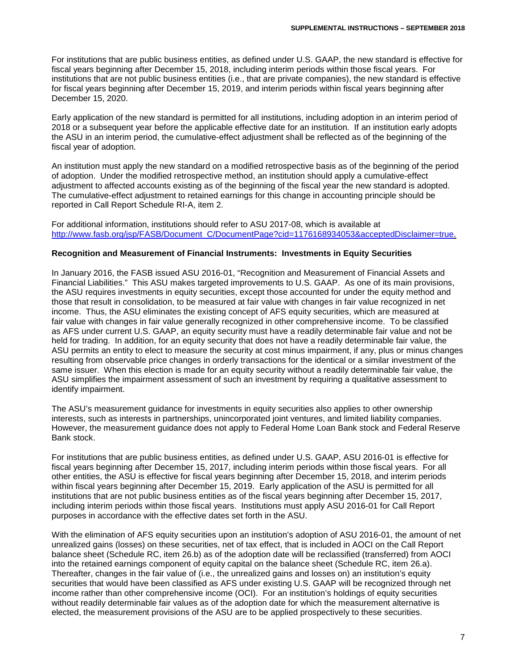For institutions that are public business entities, as defined under U.S. GAAP, the new standard is effective for fiscal years beginning after December 15, 2018, including interim periods within those fiscal years. For institutions that are not public business entities (i.e., that are private companies), the new standard is effective for fiscal years beginning after December 15, 2019, and interim periods within fiscal years beginning after December 15, 2020.

Early application of the new standard is permitted for all institutions, including adoption in an interim period of 2018 or a subsequent year before the applicable effective date for an institution. If an institution early adopts the ASU in an interim period, the cumulative-effect adjustment shall be reflected as of the beginning of the fiscal year of adoption.

An institution must apply the new standard on a modified retrospective basis as of the beginning of the period of adoption. Under the modified retrospective method, an institution should apply a cumulative-effect adjustment to affected accounts existing as of the beginning of the fiscal year the new standard is adopted. The cumulative-effect adjustment to retained earnings for this change in accounting principle should be reported in Call Report Schedule RI-A, item 2.

For additional information, institutions should refer to ASU 2017-08, which is available at [http://www.fasb.org/jsp/FASB/Document\\_C/DocumentPage?cid=1176168934053&acceptedDisclaimer=true.](http://www.fasb.org/jsp/FASB/Document_C/DocumentPage?cid=1176168934053&acceptedDisclaimer=true)

#### **Recognition and Measurement of Financial Instruments: Investments in Equity Securities**

In January 2016, the FASB issued ASU 2016-01, "Recognition and Measurement of Financial Assets and Financial Liabilities." This ASU makes targeted improvements to U.S. GAAP. As one of its main provisions, the ASU requires investments in equity securities, except those accounted for under the equity method and those that result in consolidation, to be measured at fair value with changes in fair value recognized in net income. Thus, the ASU eliminates the existing concept of AFS equity securities, which are measured at fair value with changes in fair value generally recognized in other comprehensive income. To be classified as AFS under current U.S. GAAP, an equity security must have a readily determinable fair value and not be held for trading. In addition, for an equity security that does not have a readily determinable fair value, the ASU permits an entity to elect to measure the security at cost minus impairment, if any, plus or minus changes resulting from observable price changes in orderly transactions for the identical or a similar investment of the same issuer. When this election is made for an equity security without a readily determinable fair value, the ASU simplifies the impairment assessment of such an investment by requiring a qualitative assessment to identify impairment.

The ASU's measurement guidance for investments in equity securities also applies to other ownership interests, such as interests in partnerships, unincorporated joint ventures, and limited liability companies. However, the measurement guidance does not apply to Federal Home Loan Bank stock and Federal Reserve Bank stock.

For institutions that are public business entities, as defined under U.S. GAAP, ASU 2016-01 is effective for fiscal years beginning after December 15, 2017, including interim periods within those fiscal years. For all other entities, the ASU is effective for fiscal years beginning after December 15, 2018, and interim periods within fiscal years beginning after December 15, 2019. Early application of the ASU is permitted for all institutions that are not public business entities as of the fiscal years beginning after December 15, 2017, including interim periods within those fiscal years. Institutions must apply ASU 2016-01 for Call Report purposes in accordance with the effective dates set forth in the ASU.

With the elimination of AFS equity securities upon an institution's adoption of ASU 2016-01, the amount of net unrealized gains (losses) on these securities, net of tax effect, that is included in AOCI on the Call Report balance sheet (Schedule RC, item 26.b) as of the adoption date will be reclassified (transferred) from AOCI into the retained earnings component of equity capital on the balance sheet (Schedule RC, item 26.a). Thereafter, changes in the fair value of (i.e., the unrealized gains and losses on) an institution's equity securities that would have been classified as AFS under existing U.S. GAAP will be recognized through net income rather than other comprehensive income (OCI). For an institution's holdings of equity securities without readily determinable fair values as of the adoption date for which the measurement alternative is elected, the measurement provisions of the ASU are to be applied prospectively to these securities.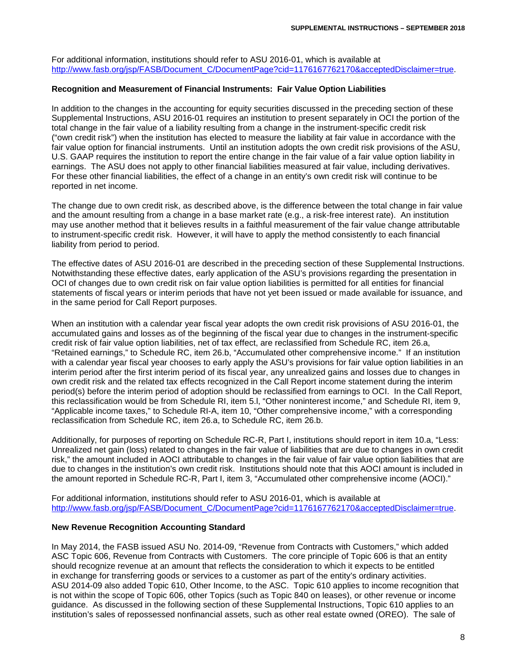For additional information, institutions should refer to ASU 2016-01, which is available at [http://www.fasb.org/jsp/FASB/Document\\_C/DocumentPage?cid=1176167762170&acceptedDisclaimer=true.](http://www.fasb.org/jsp/FASB/Document_C/DocumentPage?cid=1176167762170&acceptedDisclaimer=true)

#### **Recognition and Measurement of Financial Instruments: Fair Value Option Liabilities**

In addition to the changes in the accounting for equity securities discussed in the preceding section of these Supplemental Instructions, ASU 2016-01 requires an institution to present separately in OCI the portion of the total change in the fair value of a liability resulting from a change in the instrument-specific credit risk ("own credit risk") when the institution has elected to measure the liability at fair value in accordance with the fair value option for financial instruments. Until an institution adopts the own credit risk provisions of the ASU, U.S. GAAP requires the institution to report the entire change in the fair value of a fair value option liability in earnings. The ASU does not apply to other financial liabilities measured at fair value, including derivatives. For these other financial liabilities, the effect of a change in an entity's own credit risk will continue to be reported in net income.

The change due to own credit risk, as described above, is the difference between the total change in fair value and the amount resulting from a change in a base market rate (e.g., a risk-free interest rate). An institution may use another method that it believes results in a faithful measurement of the fair value change attributable to instrument-specific credit risk. However, it will have to apply the method consistently to each financial liability from period to period.

The effective dates of ASU 2016-01 are described in the preceding section of these Supplemental Instructions. Notwithstanding these effective dates, early application of the ASU's provisions regarding the presentation in OCI of changes due to own credit risk on fair value option liabilities is permitted for all entities for financial statements of fiscal years or interim periods that have not yet been issued or made available for issuance, and in the same period for Call Report purposes.

When an institution with a calendar year fiscal year adopts the own credit risk provisions of ASU 2016-01, the accumulated gains and losses as of the beginning of the fiscal year due to changes in the instrument-specific credit risk of fair value option liabilities, net of tax effect, are reclassified from Schedule RC, item 26.a, "Retained earnings," to Schedule RC, item 26.b, "Accumulated other comprehensive income." If an institution with a calendar year fiscal year chooses to early apply the ASU's provisions for fair value option liabilities in an interim period after the first interim period of its fiscal year, any unrealized gains and losses due to changes in own credit risk and the related tax effects recognized in the Call Report income statement during the interim period(s) before the interim period of adoption should be reclassified from earnings to OCI. In the Call Report, this reclassification would be from Schedule RI, item 5.l, "Other noninterest income," and Schedule RI, item 9, "Applicable income taxes," to Schedule RI-A, item 10, "Other comprehensive income," with a corresponding reclassification from Schedule RC, item 26.a, to Schedule RC, item 26.b.

Additionally, for purposes of reporting on Schedule RC-R, Part I, institutions should report in item 10.a, "Less: Unrealized net gain (loss) related to changes in the fair value of liabilities that are due to changes in own credit risk," the amount included in AOCI attributable to changes in the fair value of fair value option liabilities that are due to changes in the institution's own credit risk. Institutions should note that this AOCI amount is included in the amount reported in Schedule RC-R, Part I, item 3, "Accumulated other comprehensive income (AOCI)."

For additional information, institutions should refer to ASU 2016-01, which is available at [http://www.fasb.org/jsp/FASB/Document\\_C/DocumentPage?cid=1176167762170&acceptedDisclaimer=true.](http://www.fasb.org/jsp/FASB/Document_C/DocumentPage?cid=1176167762170&acceptedDisclaimer=true)

#### **New Revenue Recognition Accounting Standard**

In May 2014, the FASB issued ASU No. 2014-09, "Revenue from Contracts with Customers," which added ASC Topic 606, Revenue from Contracts with Customers. The core principle of Topic 606 is that an entity should recognize revenue at an amount that reflects the consideration to which it expects to be entitled in exchange for transferring goods or services to a customer as part of the entity's ordinary activities. ASU 2014-09 also added Topic 610, Other Income, to the ASC. Topic 610 applies to income recognition that is not within the scope of Topic 606, other Topics (such as Topic 840 on leases), or other revenue or income guidance. As discussed in the following section of these Supplemental Instructions, Topic 610 applies to an institution's sales of repossessed nonfinancial assets, such as other real estate owned (OREO). The sale of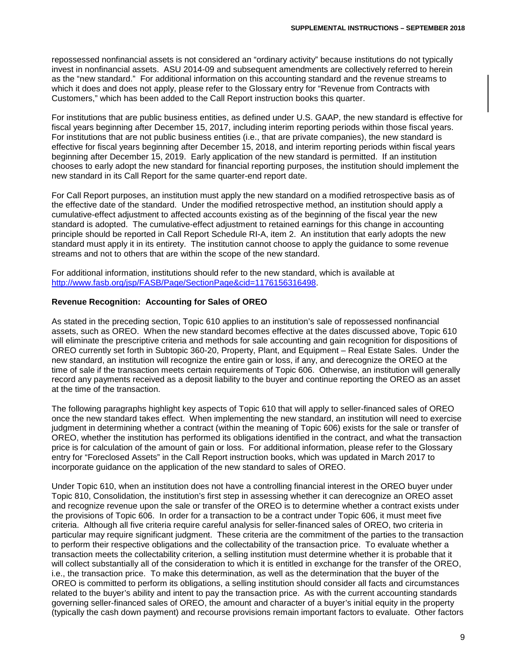repossessed nonfinancial assets is not considered an "ordinary activity" because institutions do not typically invest in nonfinancial assets. ASU 2014-09 and subsequent amendments are collectively referred to herein as the "new standard." For additional information on this accounting standard and the revenue streams to which it does and does not apply, please refer to the Glossary entry for "Revenue from Contracts with Customers," which has been added to the Call Report instruction books this quarter.

For institutions that are public business entities, as defined under U.S. GAAP, the new standard is effective for fiscal years beginning after December 15, 2017, including interim reporting periods within those fiscal years. For institutions that are not public business entities (i.e., that are private companies), the new standard is effective for fiscal years beginning after December 15, 2018, and interim reporting periods within fiscal years beginning after December 15, 2019. Early application of the new standard is permitted. If an institution chooses to early adopt the new standard for financial reporting purposes, the institution should implement the new standard in its Call Report for the same quarter-end report date.

For Call Report purposes, an institution must apply the new standard on a modified retrospective basis as of the effective date of the standard. Under the modified retrospective method, an institution should apply a cumulative-effect adjustment to affected accounts existing as of the beginning of the fiscal year the new standard is adopted. The cumulative-effect adjustment to retained earnings for this change in accounting principle should be reported in Call Report Schedule RI-A, item 2. An institution that early adopts the new standard must apply it in its entirety. The institution cannot choose to apply the guidance to some revenue streams and not to others that are within the scope of the new standard.

For additional information, institutions should refer to the new standard, which is available at [http://www.fasb.org/jsp/FASB/Page/SectionPage&cid=1176156316498.](http://www.fasb.org/jsp/FASB/Page/SectionPage&cid=1176156316498)

#### **Revenue Recognition: Accounting for Sales of OREO**

As stated in the preceding section, Topic 610 applies to an institution's sale of repossessed nonfinancial assets, such as OREO. When the new standard becomes effective at the dates discussed above, Topic 610 will eliminate the prescriptive criteria and methods for sale accounting and gain recognition for dispositions of OREO currently set forth in Subtopic 360-20, Property, Plant, and Equipment – Real Estate Sales. Under the new standard, an institution will recognize the entire gain or loss, if any, and derecognize the OREO at the time of sale if the transaction meets certain requirements of Topic 606. Otherwise, an institution will generally record any payments received as a deposit liability to the buyer and continue reporting the OREO as an asset at the time of the transaction.

The following paragraphs highlight key aspects of Topic 610 that will apply to seller-financed sales of OREO once the new standard takes effect. When implementing the new standard, an institution will need to exercise judgment in determining whether a contract (within the meaning of Topic 606) exists for the sale or transfer of OREO, whether the institution has performed its obligations identified in the contract, and what the transaction price is for calculation of the amount of gain or loss. For additional information, please refer to the Glossary entry for "Foreclosed Assets" in the Call Report instruction books, which was updated in March 2017 to incorporate guidance on the application of the new standard to sales of OREO.

Under Topic 610, when an institution does not have a controlling financial interest in the OREO buyer under Topic 810, Consolidation, the institution's first step in assessing whether it can derecognize an OREO asset and recognize revenue upon the sale or transfer of the OREO is to determine whether a contract exists under the provisions of Topic 606. In order for a transaction to be a contract under Topic 606, it must meet five criteria. Although all five criteria require careful analysis for seller-financed sales of OREO, two criteria in particular may require significant judgment. These criteria are the commitment of the parties to the transaction to perform their respective obligations and the collectability of the transaction price. To evaluate whether a transaction meets the collectability criterion, a selling institution must determine whether it is probable that it will collect substantially all of the consideration to which it is entitled in exchange for the transfer of the OREO, i.e., the transaction price. To make this determination, as well as the determination that the buyer of the OREO is committed to perform its obligations, a selling institution should consider all facts and circumstances related to the buyer's ability and intent to pay the transaction price. As with the current accounting standards governing seller-financed sales of OREO, the amount and character of a buyer's initial equity in the property (typically the cash down payment) and recourse provisions remain important factors to evaluate. Other factors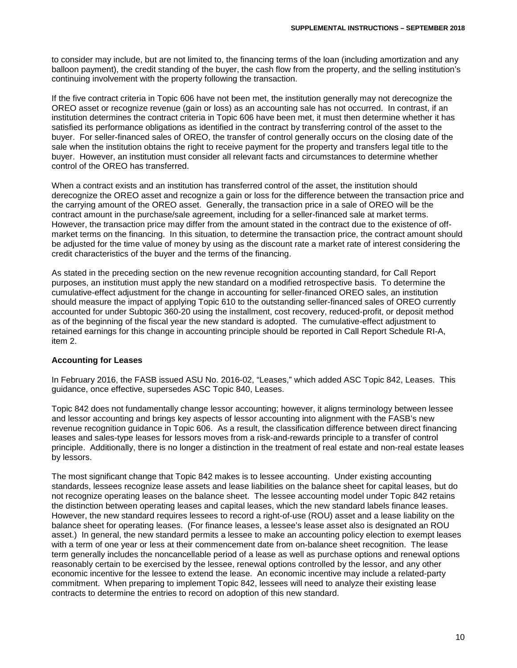to consider may include, but are not limited to, the financing terms of the loan (including amortization and any balloon payment), the credit standing of the buyer, the cash flow from the property, and the selling institution's continuing involvement with the property following the transaction.

If the five contract criteria in Topic 606 have not been met, the institution generally may not derecognize the OREO asset or recognize revenue (gain or loss) as an accounting sale has not occurred. In contrast, if an institution determines the contract criteria in Topic 606 have been met, it must then determine whether it has satisfied its performance obligations as identified in the contract by transferring control of the asset to the buyer. For seller-financed sales of OREO, the transfer of control generally occurs on the closing date of the sale when the institution obtains the right to receive payment for the property and transfers legal title to the buyer. However, an institution must consider all relevant facts and circumstances to determine whether control of the OREO has transferred.

When a contract exists and an institution has transferred control of the asset, the institution should derecognize the OREO asset and recognize a gain or loss for the difference between the transaction price and the carrying amount of the OREO asset. Generally, the transaction price in a sale of OREO will be the contract amount in the purchase/sale agreement, including for a seller-financed sale at market terms. However, the transaction price may differ from the amount stated in the contract due to the existence of offmarket terms on the financing. In this situation, to determine the transaction price, the contract amount should be adjusted for the time value of money by using as the discount rate a market rate of interest considering the credit characteristics of the buyer and the terms of the financing.

As stated in the preceding section on the new revenue recognition accounting standard, for Call Report purposes, an institution must apply the new standard on a modified retrospective basis. To determine the cumulative-effect adjustment for the change in accounting for seller-financed OREO sales, an institution should measure the impact of applying Topic 610 to the outstanding seller-financed sales of OREO currently accounted for under Subtopic 360-20 using the installment, cost recovery, reduced-profit, or deposit method as of the beginning of the fiscal year the new standard is adopted. The cumulative-effect adjustment to retained earnings for this change in accounting principle should be reported in Call Report Schedule RI-A, item 2.

#### **Accounting for Leases**

In February 2016, the FASB issued ASU No. 2016-02, "Leases," which added ASC Topic 842, Leases. This guidance, once effective, supersedes ASC Topic 840, Leases.

Topic 842 does not fundamentally change lessor accounting; however, it aligns terminology between lessee and lessor accounting and brings key aspects of lessor accounting into alignment with the FASB's new revenue recognition guidance in Topic 606. As a result, the classification difference between direct financing leases and sales-type leases for lessors moves from a risk-and-rewards principle to a transfer of control principle. Additionally, there is no longer a distinction in the treatment of real estate and non-real estate leases by lessors.

The most significant change that Topic 842 makes is to lessee accounting. Under existing accounting standards, lessees recognize lease assets and lease liabilities on the balance sheet for capital leases, but do not recognize operating leases on the balance sheet. The lessee accounting model under Topic 842 retains the distinction between operating leases and capital leases, which the new standard labels finance leases. However, the new standard requires lessees to record a right-of-use (ROU) asset and a lease liability on the balance sheet for operating leases. (For finance leases, a lessee's lease asset also is designated an ROU asset.) In general, the new standard permits a lessee to make an accounting policy election to exempt leases with a term of one year or less at their commencement date from on-balance sheet recognition. The lease term generally includes the noncancellable period of a lease as well as purchase options and renewal options reasonably certain to be exercised by the lessee, renewal options controlled by the lessor, and any other economic incentive for the lessee to extend the lease. An economic incentive may include a related-party commitment. When preparing to implement Topic 842, lessees will need to analyze their existing lease contracts to determine the entries to record on adoption of this new standard.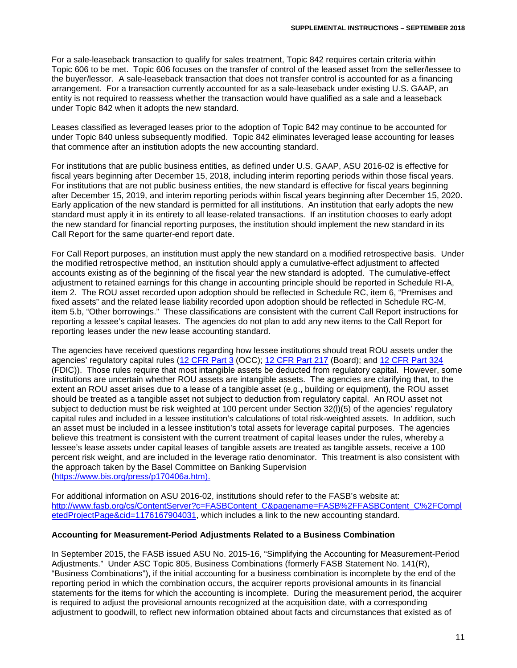For a sale-leaseback transaction to qualify for sales treatment, Topic 842 requires certain criteria within Topic 606 to be met. Topic 606 focuses on the transfer of control of the leased asset from the seller/lessee to the buyer/lessor. A sale-leaseback transaction that does not transfer control is accounted for as a financing arrangement. For a transaction currently accounted for as a sale-leaseback under existing U.S. GAAP, an entity is not required to reassess whether the transaction would have qualified as a sale and a leaseback under Topic 842 when it adopts the new standard.

Leases classified as leveraged leases prior to the adoption of Topic 842 may continue to be accounted for under Topic 840 unless subsequently modified. Topic 842 eliminates leveraged lease accounting for leases that commence after an institution adopts the new accounting standard.

For institutions that are public business entities, as defined under U.S. GAAP, ASU 2016-02 is effective for fiscal years beginning after December 15, 2018, including interim reporting periods within those fiscal years. For institutions that are not public business entities, the new standard is effective for fiscal years beginning after December 15, 2019, and interim reporting periods within fiscal years beginning after December 15, 2020. Early application of the new standard is permitted for all institutions. An institution that early adopts the new standard must apply it in its entirety to all lease-related transactions. If an institution chooses to early adopt the new standard for financial reporting purposes, the institution should implement the new standard in its Call Report for the same quarter-end report date.

For Call Report purposes, an institution must apply the new standard on a modified retrospective basis. Under the modified retrospective method, an institution should apply a cumulative-effect adjustment to affected accounts existing as of the beginning of the fiscal year the new standard is adopted. The cumulative-effect adjustment to retained earnings for this change in accounting principle should be reported in Schedule RI-A, item 2. The ROU asset recorded upon adoption should be reflected in Schedule RC, item 6, "Premises and fixed assets" and the related lease liability recorded upon adoption should be reflected in Schedule RC-M, item 5.b, "Other borrowings." These classifications are consistent with the current Call Report instructions for reporting a lessee's capital leases. The agencies do not plan to add any new items to the Call Report for reporting leases under the new lease accounting standard.

The agencies have received questions regarding how lessee institutions should treat ROU assets under the agencies' regulatory capital rules [\(12 CFR Part 3](https://www.ecfr.gov/cgi-bin/text-idx?SID=6a4386753d17214d1170526af6423e67&mc=true&node=pt12.1.3&rgn=div5) (OCC); [12 CFR Part 217](https://www.ecfr.gov/cgi-bin/text-idx?SID=6a4386753d17214d1170526af6423e67&mc=true&node=pt12.2.217&rgn=div5) (Board); and [12 CFR Part 324](https://www.ecfr.gov/cgi-bin/text-idx?SID=6a4386753d17214d1170526af6423e67&mc=true&node=pt12.5.324&rgn=div5) (FDIC)). Those rules require that most intangible assets be deducted from regulatory capital. However, some institutions are uncertain whether ROU assets are intangible assets. The agencies are clarifying that, to the extent an ROU asset arises due to a lease of a tangible asset (e.g., building or equipment), the ROU asset should be treated as a tangible asset not subject to deduction from regulatory capital. An ROU asset not subject to deduction must be risk weighted at 100 percent under Section 32(l)(5) of the agencies' regulatory capital rules and included in a lessee institution's calculations of total risk-weighted assets. In addition, such an asset must be included in a lessee institution's total assets for leverage capital purposes. The agencies believe this treatment is consistent with the current treatment of capital leases under the rules, whereby a lessee's lease assets under capital leases of tangible assets are treated as tangible assets, receive a 100 percent risk weight, and are included in the leverage ratio denominator. This treatment is also consistent with the approach taken by the Basel Committee on Banking Supervision [\(https://www.bis.org/press/p170406a.htm\)](https://www.bis.org/press/p170406a.htm).

For additional information on ASU 2016-02, institutions should refer to the FASB's website at: [http://www.fasb.org/cs/ContentServer?c=FASBContent\\_C&pagename=FASB%2FFASBContent\\_C%2FCompl](http://www.fasb.org/cs/ContentServer?c=FASBContent_C&pagename=FASB%2FFASBContent_C%2FCompletedProjectPage&cid=1176167904031) [etedProjectPage&cid=1176167904031,](http://www.fasb.org/cs/ContentServer?c=FASBContent_C&pagename=FASB%2FFASBContent_C%2FCompletedProjectPage&cid=1176167904031) which includes a link to the new accounting standard.

#### **Accounting for Measurement-Period Adjustments Related to a Business Combination**

In September 2015, the FASB issued ASU No. 2015-16, "Simplifying the Accounting for Measurement-Period Adjustments." Under ASC Topic 805, Business Combinations (formerly FASB Statement No. 141(R), "Business Combinations"), if the initial accounting for a business combination is incomplete by the end of the reporting period in which the combination occurs, the acquirer reports provisional amounts in its financial statements for the items for which the accounting is incomplete. During the measurement period, the acquirer is required to adjust the provisional amounts recognized at the acquisition date, with a corresponding adjustment to goodwill, to reflect new information obtained about facts and circumstances that existed as of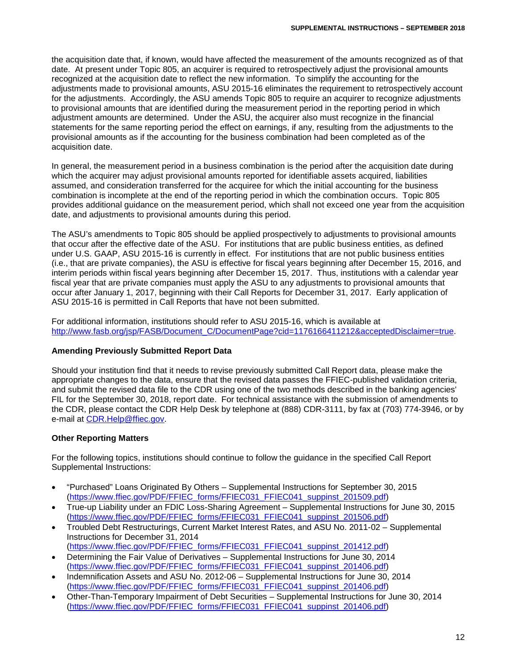the acquisition date that, if known, would have affected the measurement of the amounts recognized as of that date. At present under Topic 805, an acquirer is required to retrospectively adjust the provisional amounts recognized at the acquisition date to reflect the new information. To simplify the accounting for the adjustments made to provisional amounts, ASU 2015-16 eliminates the requirement to retrospectively account for the adjustments. Accordingly, the ASU amends Topic 805 to require an acquirer to recognize adjustments to provisional amounts that are identified during the measurement period in the reporting period in which adjustment amounts are determined. Under the ASU, the acquirer also must recognize in the financial statements for the same reporting period the effect on earnings, if any, resulting from the adjustments to the provisional amounts as if the accounting for the business combination had been completed as of the acquisition date.

In general, the measurement period in a business combination is the period after the acquisition date during which the acquirer may adjust provisional amounts reported for identifiable assets acquired, liabilities assumed, and consideration transferred for the acquiree for which the initial accounting for the business combination is incomplete at the end of the reporting period in which the combination occurs. Topic 805 provides additional guidance on the measurement period, which shall not exceed one year from the acquisition date, and adjustments to provisional amounts during this period.

The ASU's amendments to Topic 805 should be applied prospectively to adjustments to provisional amounts that occur after the effective date of the ASU. For institutions that are public business entities, as defined under U.S. GAAP, ASU 2015-16 is currently in effect. For institutions that are not public business entities (i.e., that are private companies), the ASU is effective for fiscal years beginning after December 15, 2016, and interim periods within fiscal years beginning after December 15, 2017. Thus, institutions with a calendar year fiscal year that are private companies must apply the ASU to any adjustments to provisional amounts that occur after January 1, 2017, beginning with their Call Reports for December 31, 2017. Early application of ASU 2015-16 is permitted in Call Reports that have not been submitted.

For additional information, institutions should refer to ASU 2015-16, which is available at [http://www.fasb.org/jsp/FASB/Document\\_C/DocumentPage?cid=1176166411212&acceptedDisclaimer=true.](http://www.fasb.org/jsp/FASB/Document_C/DocumentPage?cid=1176166411212&acceptedDisclaimer=true)

# **Amending Previously Submitted Report Data**

Should your institution find that it needs to revise previously submitted Call Report data, please make the appropriate changes to the data, ensure that the revised data passes the FFIEC-published validation criteria, and submit the revised data file to the CDR using one of the two methods described in the banking agencies' FIL for the September 30, 2018, report date. For technical assistance with the submission of amendments to the CDR, please contact the CDR Help Desk by telephone at (888) CDR-3111, by fax at (703) 774-3946, or by e-mail at [CDR.Help@ffiec.gov.](mailto:CDR.Help@ffiec.gov)

# **Other Reporting Matters**

For the following topics, institutions should continue to follow the guidance in the specified Call Report Supplemental Instructions:

- "Purchased" Loans Originated By Others Supplemental Instructions for September 30, 2015 [\(https://www.ffiec.gov/PDF/FFIEC\\_forms/FFIEC031\\_FFIEC041\\_suppinst\\_201509.pdf\)](https://www.ffiec.gov/PDF/FFIEC_forms/FFIEC031_FFIEC041_suppinst_201509.pdf)
- True-up Liability under an FDIC Loss-Sharing Agreement Supplemental Instructions for June 30, 2015 [\(https://www.ffiec.gov/PDF/FFIEC\\_forms/FFIEC031\\_FFIEC041\\_suppinst\\_201506.pdf\)](https://www.ffiec.gov/PDF/FFIEC_forms/FFIEC031_FFIEC041_suppinst_201506.pdf)
- Troubled Debt Restructurings, Current Market Interest Rates, and ASU No. 2011-02 Supplemental Instructions for December 31, 2014 [\(https://www.ffiec.gov/PDF/FFIEC\\_forms/FFIEC031\\_FFIEC041\\_suppinst\\_201412.pdf\)](https://www.ffiec.gov/PDF/FFIEC_forms/FFIEC031_FFIEC041_suppinst_201412.pdf)
- Determining the Fair Value of Derivatives Supplemental Instructions for June 30, 2014 [\(https://www.ffiec.gov/PDF/FFIEC\\_forms/FFIEC031\\_FFIEC041\\_suppinst\\_201406.pdf\)](https://www.ffiec.gov/PDF/FFIEC_forms/FFIEC031_FFIEC041_suppinst_201406.pdf)
- Indemnification Assets and ASU No. 2012-06 Supplemental Instructions for June 30, 2014 [\(https://www.ffiec.gov/PDF/FFIEC\\_forms/FFIEC031\\_FFIEC041\\_suppinst\\_201406.pdf\)](https://www.ffiec.gov/PDF/FFIEC_forms/FFIEC031_FFIEC041_suppinst_201406.pdf)
- Other-Than-Temporary Impairment of Debt Securities Supplemental Instructions for June 30, 2014 [\(https://www.ffiec.gov/PDF/FFIEC\\_forms/FFIEC031\\_FFIEC041\\_suppinst\\_201406.pdf\)](https://www.ffiec.gov/PDF/FFIEC_forms/FFIEC031_FFIEC041_suppinst_201406.pdf)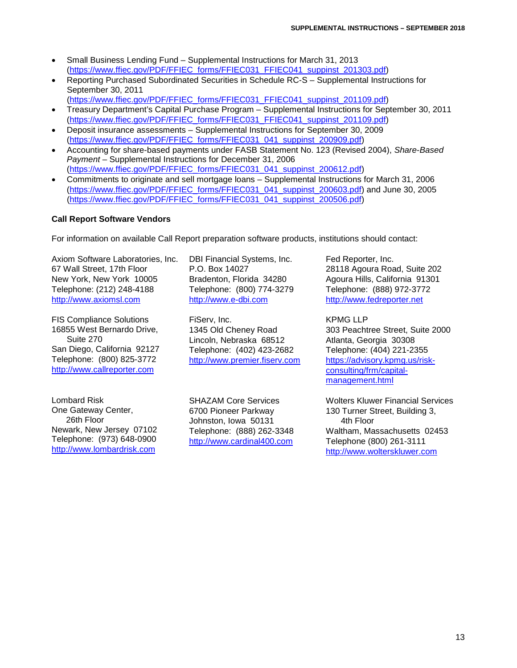- Small Business Lending Fund Supplemental Instructions for March 31, 2013 [\(https://www.ffiec.gov/PDF/FFIEC\\_forms/FFIEC031\\_FFIEC041\\_suppinst\\_201303.pdf\)](https://www.ffiec.gov/PDF/FFIEC_forms/FFIEC031_FFIEC041_suppinst_201303.pdf)
- Reporting Purchased Subordinated Securities in Schedule RC-S Supplemental Instructions for September 30, 2011 [\(https://www.ffiec.gov/PDF/FFIEC\\_forms/FFIEC031\\_FFIEC041\\_suppinst\\_201109.pdf\)](https://www.ffiec.gov/PDF/FFIEC_forms/FFIEC031_FFIEC041_suppinst_201109.pdf)
- Treasury Department's Capital Purchase Program Supplemental Instructions for September 30, 2011 [\(https://www.ffiec.gov/PDF/FFIEC\\_forms/FFIEC031\\_FFIEC041\\_suppinst\\_201109.pdf\)](https://www.ffiec.gov/PDF/FFIEC_forms/FFIEC031_FFIEC041_suppinst_201109.pdf)
- Deposit insurance assessments Supplemental Instructions for September 30, 2009 [\(https://www.ffiec.gov/PDF/FFIEC\\_forms/FFIEC031\\_041\\_suppinst\\_200909.pdf\)](https://www.ffiec.gov/PDF/FFIEC_forms/FFIEC031_041_suppinst_200909.pdf)
- Accounting for share-based payments under FASB Statement No. 123 (Revised 2004), *Share-Based Payment* – Supplemental Instructions for December 31, 2006 [\(https://www.ffiec.gov/PDF/FFIEC\\_forms/FFIEC031\\_041\\_suppinst\\_200612.pdf\)](https://www.ffiec.gov/PDF/FFIEC_forms/FFIEC031_041_suppinst_200612.pdf)
- Commitments to originate and sell mortgage loans Supplemental Instructions for March 31, 2006 [\(https://www.ffiec.gov/PDF/FFIEC\\_forms/FFIEC031\\_041\\_suppinst\\_200603.pdf\)](https://www.ffiec.gov/PDF/FFIEC_forms/FFIEC031_041_suppinst_200603.pdf) and June 30, 2005 [\(https://www.ffiec.gov/PDF/FFIEC\\_forms/FFIEC031\\_041\\_suppinst\\_200506.pdf\)](https://www.ffiec.gov/PDF/FFIEC_forms/FFIEC031_041_suppinst_200506.pdf)

# **Call Report Software Vendors**

For information on available Call Report preparation software products, institutions should contact:

Axiom Software Laboratories, Inc. 67 Wall Street, 17th Floor New York, New York 10005 Telephone: (212) 248-4188 [http://www.axiomsl.com](http://www.axiomsl.com/)

FIS Compliance Solutions 16855 West Bernardo Drive, Suite 270 San Diego, California 92127 Telephone: (800) 825-3772 [http://www.callreporter.com](http://www.callreporter.com/)

Lombard Risk One Gateway Center, 26th Floor Newark, New Jersey 07102 Telephone: (973) 648-0900 [http://www.lombardrisk.com](http://www.lombardrisk.com/)

DBI Financial Systems, Inc. P.O. Box 14027 Bradenton, Florida 34280 Telephone: (800) 774-3279 [http://www.e-dbi.com](http://www.e-dbi.com/)

FiServ, Inc. 1345 Old Cheney Road Lincoln, Nebraska 68512 Telephone: (402) 423-2682 [http://www.premier.fiserv.com](http://www.premier.fiserv.com/)

SHAZAM Core Services 6700 Pioneer Parkway Johnston, Iowa 50131 Telephone: (888) 262-3348 [http://www.cardinal400.com](http://www.cardinal400.com/)

Fed Reporter, Inc. 28118 Agoura Road, Suite 202 Agoura Hills, California 91301 Telephone: (888) 972-3772 [http://www.fedreporter.net](http://www.fedreporter.net/)

KPMG LLP 303 Peachtree Street, Suite 2000 Atlanta, Georgia 30308 Telephone: (404) 221-2355 [https://advisory.kpmg.us/risk](https://advisory.kpmg.us/risk-consulting/frm/capital-management.html)[consulting/frm/capital](https://advisory.kpmg.us/risk-consulting/frm/capital-management.html)[management.html](https://advisory.kpmg.us/risk-consulting/frm/capital-management.html)

Wolters Kluwer Financial Services 130 Turner Street, Building 3, 4th Floor Waltham, Massachusetts 02453 Telephone (800) 261-3111 [http://www.wolterskluwer.com](http://www.wolterskluwer.com/)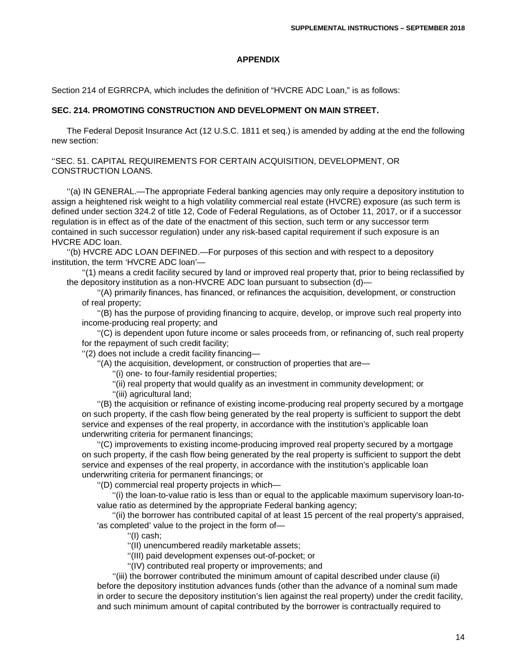#### **APPENDIX**

Section 214 of EGRRCPA, which includes the definition of "HVCRE ADC Loan," is as follows:

## **SEC. 214. PROMOTING CONSTRUCTION AND DEVELOPMENT ON MAIN STREET.**

The Federal Deposit Insurance Act (12 U.S.C. 1811 et seq.) is amended by adding at the end the following new section:

''SEC. 51. CAPITAL REQUIREMENTS FOR CERTAIN ACQUISITION, DEVELOPMENT, OR CONSTRUCTION LOANS.

''(a) IN GENERAL.—The appropriate Federal banking agencies may only require a depository institution to assign a heightened risk weight to a high volatility commercial real estate (HVCRE) exposure (as such term is defined under section 324.2 of title 12, Code of Federal Regulations, as of October 11, 2017, or if a successor regulation is in effect as of the date of the enactment of this section, such term or any successor term contained in such successor regulation) under any risk-based capital requirement if such exposure is an HVCRE ADC loan.

''(b) HVCRE ADC LOAN DEFINED.—For purposes of this section and with respect to a depository institution, the term 'HVCRE ADC loan'—

''(1) means a credit facility secured by land or improved real property that, prior to being reclassified by the depository institution as a non-HVCRE ADC loan pursuant to subsection (d)—

''(A) primarily finances, has financed, or refinances the acquisition, development, or construction of real property;

''(B) has the purpose of providing financing to acquire, develop, or improve such real property into income-producing real property; and

''(C) is dependent upon future income or sales proceeds from, or refinancing of, such real property for the repayment of such credit facility;

''(2) does not include a credit facility financing—

''(A) the acquisition, development, or construction of properties that are—

''(i) one- to four-family residential properties;

''(ii) real property that would qualify as an investment in community development; or

''(iii) agricultural land;

''(B) the acquisition or refinance of existing income-producing real property secured by a mortgage on such property, if the cash flow being generated by the real property is sufficient to support the debt service and expenses of the real property, in accordance with the institution's applicable loan underwriting criteria for permanent financings;

''(C) improvements to existing income-producing improved real property secured by a mortgage on such property, if the cash flow being generated by the real property is sufficient to support the debt service and expenses of the real property, in accordance with the institution's applicable loan underwriting criteria for permanent financings; or

''(D) commercial real property projects in which—

''(i) the loan-to-value ratio is less than or equal to the applicable maximum supervisory loan-tovalue ratio as determined by the appropriate Federal banking agency;

''(ii) the borrower has contributed capital of at least 15 percent of the real property's appraised, 'as completed' value to the project in the form of—

''(I) cash;

''(II) unencumbered readily marketable assets;

''(III) paid development expenses out-of-pocket; or

''(IV) contributed real property or improvements; and

''(iii) the borrower contributed the minimum amount of capital described under clause (ii) before the depository institution advances funds (other than the advance of a nominal sum made in order to secure the depository institution's lien against the real property) under the credit facility, and such minimum amount of capital contributed by the borrower is contractually required to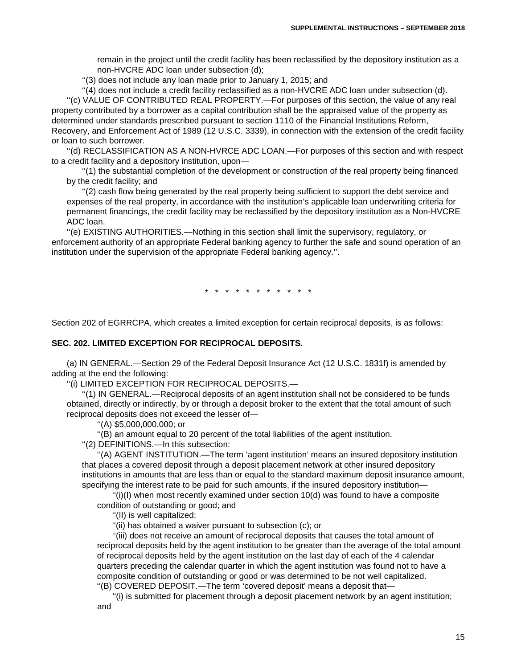remain in the project until the credit facility has been reclassified by the depository institution as a non-HVCRE ADC loan under subsection (d);

''(3) does not include any loan made prior to January 1, 2015; and

''(4) does not include a credit facility reclassified as a non-HVCRE ADC loan under subsection (d). ''(c) VALUE OF CONTRIBUTED REAL PROPERTY.—For purposes of this section, the value of any real

property contributed by a borrower as a capital contribution shall be the appraised value of the property as determined under standards prescribed pursuant to section 1110 of the Financial Institutions Reform, Recovery, and Enforcement Act of 1989 (12 U.S.C. 3339), in connection with the extension of the credit facility or loan to such borrower.

''(d) RECLASSIFICATION AS A NON-HVRCE ADC LOAN.—For purposes of this section and with respect to a credit facility and a depository institution, upon—

''(1) the substantial completion of the development or construction of the real property being financed by the credit facility; and

''(2) cash flow being generated by the real property being sufficient to support the debt service and expenses of the real property, in accordance with the institution's applicable loan underwriting criteria for permanent financings, the credit facility may be reclassified by the depository institution as a Non-HVCRE ADC loan.

''(e) EXISTING AUTHORITIES.—Nothing in this section shall limit the supervisory, regulatory, or enforcement authority of an appropriate Federal banking agency to further the safe and sound operation of an institution under the supervision of the appropriate Federal banking agency.''.

\* \* \* \* \* \* \* \* \* \* \*

Section 202 of EGRRCPA, which creates a limited exception for certain reciprocal deposits, is as follows:

#### **SEC. 202. LIMITED EXCEPTION FOR RECIPROCAL DEPOSITS.**

(a) IN GENERAL.—Section 29 of the Federal Deposit Insurance Act (12 U.S.C. 1831f) is amended by adding at the end the following:

''(i) LIMITED EXCEPTION FOR RECIPROCAL DEPOSITS.—

''(1) IN GENERAL.—Reciprocal deposits of an agent institution shall not be considered to be funds obtained, directly or indirectly, by or through a deposit broker to the extent that the total amount of such reciprocal deposits does not exceed the lesser of—

''(A) \$5,000,000,000; or

''(B) an amount equal to 20 percent of the total liabilities of the agent institution.

''(2) DEFINITIONS.—In this subsection:

''(A) AGENT INSTITUTION.—The term 'agent institution' means an insured depository institution that places a covered deposit through a deposit placement network at other insured depository institutions in amounts that are less than or equal to the standard maximum deposit insurance amount, specifying the interest rate to be paid for such amounts, if the insured depository institution—

 $''(i)(l)$  when most recently examined under section 10(d) was found to have a composite condition of outstanding or good; and

''(II) is well capitalized;

"(ii) has obtained a waiver pursuant to subsection (c); or

''(iii) does not receive an amount of reciprocal deposits that causes the total amount of reciprocal deposits held by the agent institution to be greater than the average of the total amount of reciprocal deposits held by the agent institution on the last day of each of the 4 calendar quarters preceding the calendar quarter in which the agent institution was found not to have a composite condition of outstanding or good or was determined to be not well capitalized. ''(B) COVERED DEPOSIT.—The term 'covered deposit' means a deposit that—

''(i) is submitted for placement through a deposit placement network by an agent institution; and